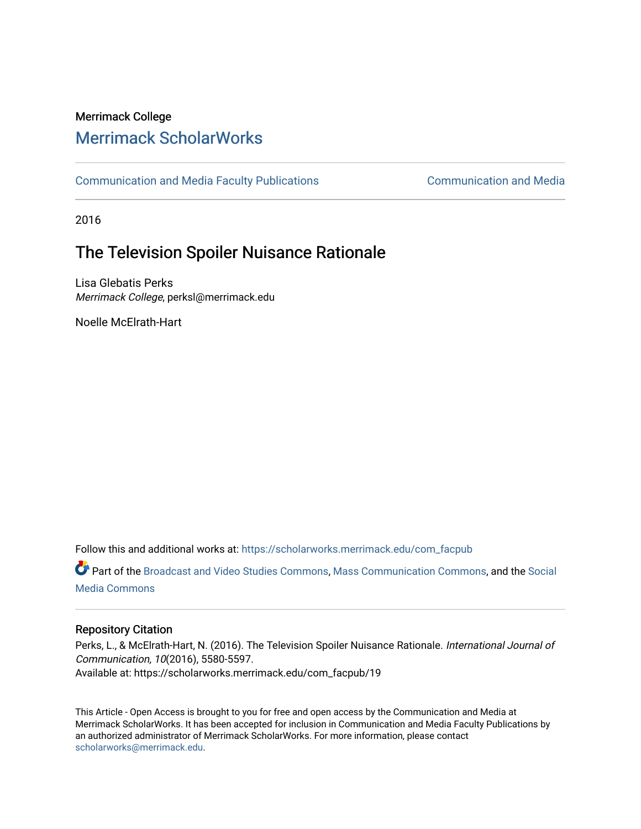# Merrimack College [Merrimack ScholarWorks](https://scholarworks.merrimack.edu/)

[Communication and Media Faculty Publications](https://scholarworks.merrimack.edu/com_facpub) [Communication and Media](https://scholarworks.merrimack.edu/com) 

2016

# The Television Spoiler Nuisance Rationale

Lisa Glebatis Perks Merrimack College, perksl@merrimack.edu

Noelle McElrath-Hart

Follow this and additional works at: [https://scholarworks.merrimack.edu/com\\_facpub](https://scholarworks.merrimack.edu/com_facpub?utm_source=scholarworks.merrimack.edu%2Fcom_facpub%2F19&utm_medium=PDF&utm_campaign=PDFCoverPages) 

Part of the [Broadcast and Video Studies Commons,](http://network.bepress.com/hgg/discipline/326?utm_source=scholarworks.merrimack.edu%2Fcom_facpub%2F19&utm_medium=PDF&utm_campaign=PDFCoverPages) [Mass Communication Commons,](http://network.bepress.com/hgg/discipline/334?utm_source=scholarworks.merrimack.edu%2Fcom_facpub%2F19&utm_medium=PDF&utm_campaign=PDFCoverPages) and the [Social](http://network.bepress.com/hgg/discipline/1249?utm_source=scholarworks.merrimack.edu%2Fcom_facpub%2F19&utm_medium=PDF&utm_campaign=PDFCoverPages)  [Media Commons](http://network.bepress.com/hgg/discipline/1249?utm_source=scholarworks.merrimack.edu%2Fcom_facpub%2F19&utm_medium=PDF&utm_campaign=PDFCoverPages)

# Repository Citation

Perks, L., & McElrath-Hart, N. (2016). The Television Spoiler Nuisance Rationale. International Journal of Communication, 10(2016), 5580-5597. Available at: https://scholarworks.merrimack.edu/com\_facpub/19

This Article - Open Access is brought to you for free and open access by the Communication and Media at Merrimack ScholarWorks. It has been accepted for inclusion in Communication and Media Faculty Publications by an authorized administrator of Merrimack ScholarWorks. For more information, please contact [scholarworks@merrimack.edu](mailto:scholarworks@merrimack.edu).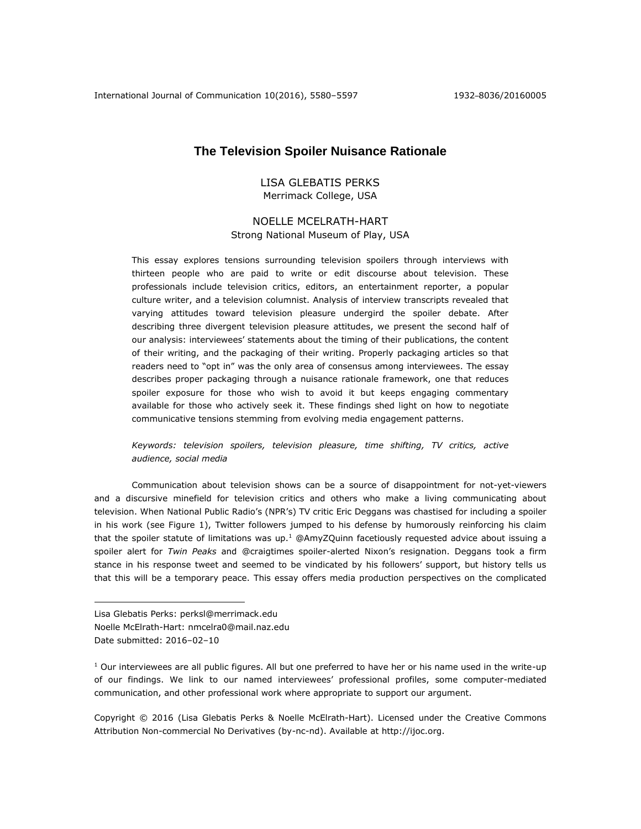International Journal of Communication 10(2016), 5580–5597 1932–8036/20160005

## **The Television Spoiler Nuisance Rationale**

## LISA GLEBATIS PERKS Merrimack College, USA

## NOELLE MCELRATH-HART Strong National Museum of Play, USA

This essay explores tensions surrounding television spoilers through interviews with thirteen people who are paid to write or edit discourse about television. These professionals include television critics, editors, an entertainment reporter, a popular culture writer, and a television columnist. Analysis of interview transcripts revealed that varying attitudes toward television pleasure undergird the spoiler debate. After describing three divergent television pleasure attitudes, we present the second half of our analysis: interviewees' statements about the timing of their publications, the content of their writing, and the packaging of their writing. Properly packaging articles so that readers need to "opt in" was the only area of consensus among interviewees. The essay describes proper packaging through a nuisance rationale framework, one that reduces spoiler exposure for those who wish to avoid it but keeps engaging commentary available for those who actively seek it. These findings shed light on how to negotiate communicative tensions stemming from evolving media engagement patterns.

*Keywords: television spoilers, television pleasure, time shifting, TV critics, active audience, social media*

Communication about television shows can be a source of disappointment for not-yet-viewers and a discursive minefield for television critics and others who make a living communicating about television. When National Public Radio's (NPR's) TV critic Eric Deggans was chastised for including a spoiler in his work (see Figure 1), Twitter followers jumped to his defense by humorously reinforcing his claim that the spoiler statute of limitations was up.<sup>1</sup> @AmyZQuinn facetiously requested advice about issuing a spoiler alert for *Twin Peaks* and @craigtimes spoiler-alerted Nixon's resignation. Deggans took a firm stance in his response tweet and seemed to be vindicated by his followers' support, but history tells us that this will be a temporary peace. This essay offers media production perspectives on the complicated

Lisa Glebatis Perks: perksl@merrimack.edu Noelle McElrath-Hart: nmcelra0@mail.naz.edu Date submitted: 2016–02–10

 $\overline{a}$ 

 $1$  Our interviewees are all public figures. All but one preferred to have her or his name used in the write-up of our findings. We link to our named interviewees' professional profiles, some computer-mediated communication, and other professional work where appropriate to support our argument.

Copyright © 2016 (Lisa Glebatis Perks & Noelle McElrath-Hart). Licensed under the Creative Commons Attribution Non-commercial No Derivatives (by-nc-nd). Available at [http://ijoc.org.](http://ijoc.org/)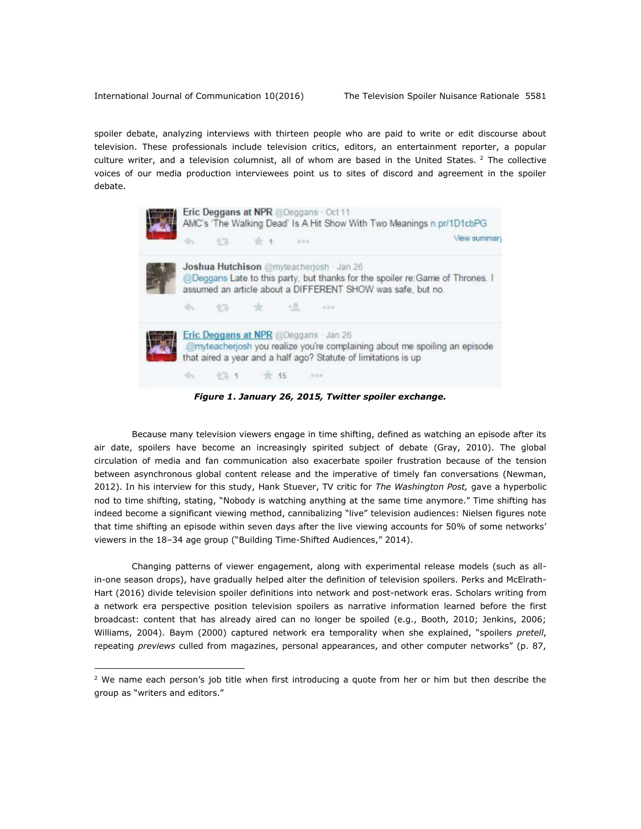$\overline{a}$ 

spoiler debate, analyzing interviews with thirteen people who are paid to write or edit discourse about television. These professionals include television critics, editors, an entertainment reporter, a popular culture writer, and a television columnist, all of whom are based in the United States. <sup>2</sup> The collective voices of our media production interviewees point us to sites of discord and agreement in the spoiler debate.



*Figure 1***.** *January 26, 2015, Twitter spoiler exchange.*

Because many television viewers engage in time shifting, defined as watching an episode after its air date, spoilers have become an increasingly spirited subject of debate (Gray, 2010). The global circulation of media and fan communication also exacerbate spoiler frustration because of the tension between asynchronous global content release and the imperative of timely fan conversations (Newman, 2012). In his interview for this study, Hank Stuever, TV critic for *The Washington Post,* gave a hyperbolic nod to time shifting, stating, "Nobody is watching anything at the same time anymore." Time shifting has indeed become a significant viewing method, cannibalizing "live" television audiences: Nielsen figures note that time shifting an episode within seven days after the live viewing accounts for 50% of some networks' viewers in the 18–34 age group ("Building Time-Shifted Audiences," 2014).

Changing patterns of viewer engagement, along with experimental release models (such as allin-one season drops), have gradually helped alter the definition of television spoilers. Perks and McElrath-Hart (2016) divide television spoiler definitions into network and post-network eras. Scholars writing from a network era perspective position television spoilers as narrative information learned before the first broadcast: content that has already aired can no longer be spoiled (e.g., Booth, 2010; Jenkins, 2006; Williams, 2004). Baym (2000) captured network era temporality when she explained, "spoilers *pretell*, repeating *previews* culled from magazines, personal appearances, and other computer networks" (p. 87,

 $2$  We name each person's job title when first introducing a quote from her or him but then describe the group as "writers and editors."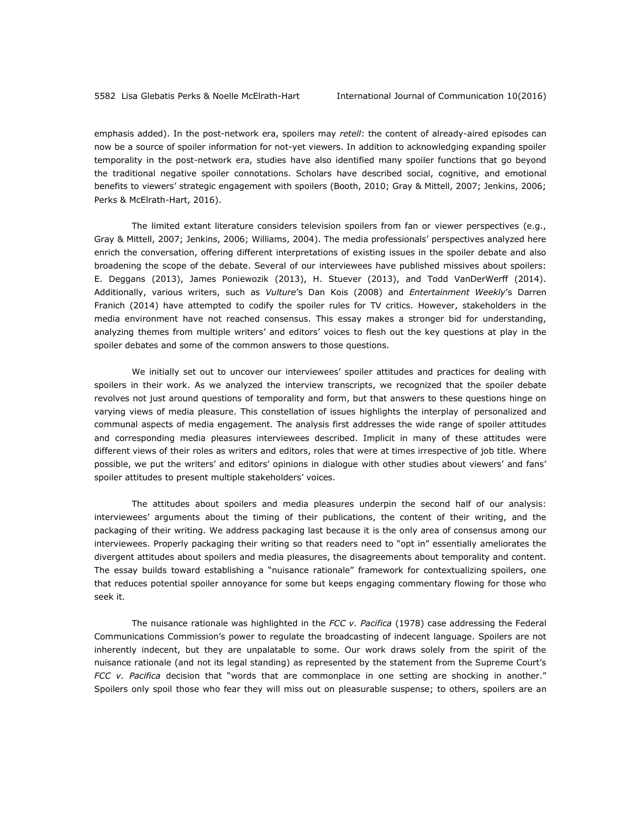emphasis added). In the post-network era, spoilers may *retell*: the content of already-aired episodes can now be a source of spoiler information for not-yet viewers. In addition to acknowledging expanding spoiler temporality in the post-network era, studies have also identified many spoiler functions that go beyond the traditional negative spoiler connotations. Scholars have described social, cognitive, and emotional benefits to viewers' strategic engagement with spoilers (Booth, 2010; Gray & Mittell, 2007; Jenkins, 2006; Perks & McElrath-Hart, 2016).

The limited extant literature considers television spoilers from fan or viewer perspectives (e.g., Gray & Mittell, 2007; Jenkins, 2006; Williams, 2004). The media professionals' perspectives analyzed here enrich the conversation, offering different interpretations of existing issues in the spoiler debate and also broadening the scope of the debate. Several of our interviewees have published missives about spoilers: E. Deggans (2013), James Poniewozik (2013), H. Stuever (2013), and Todd VanDerWerff (2014). Additionally, various writers, such as *Vulture*'s Dan Kois (2008) and *Entertainment Weekly*'s Darren Franich (2014) have attempted to codify the spoiler rules for TV critics. However, stakeholders in the media environment have not reached consensus. This essay makes a stronger bid for understanding, analyzing themes from multiple writers' and editors' voices to flesh out the key questions at play in the spoiler debates and some of the common answers to those questions.

We initially set out to uncover our interviewees' spoiler attitudes and practices for dealing with spoilers in their work. As we analyzed the interview transcripts, we recognized that the spoiler debate revolves not just around questions of temporality and form, but that answers to these questions hinge on varying views of media pleasure. This constellation of issues highlights the interplay of personalized and communal aspects of media engagement. The analysis first addresses the wide range of spoiler attitudes and corresponding media pleasures interviewees described. Implicit in many of these attitudes were different views of their roles as writers and editors, roles that were at times irrespective of job title. Where possible, we put the writers' and editors' opinions in dialogue with other studies about viewers' and fans' spoiler attitudes to present multiple stakeholders' voices.

The attitudes about spoilers and media pleasures underpin the second half of our analysis: interviewees' arguments about the timing of their publications, the content of their writing, and the packaging of their writing. We address packaging last because it is the only area of consensus among our interviewees. Properly packaging their writing so that readers need to "opt in" essentially ameliorates the divergent attitudes about spoilers and media pleasures, the disagreements about temporality and content. The essay builds toward establishing a "nuisance rationale" framework for contextualizing spoilers, one that reduces potential spoiler annoyance for some but keeps engaging commentary flowing for those who seek it.

The nuisance rationale was highlighted in the *FCC v. Pacifica* (1978) case addressing the Federal Communications Commission's power to regulate the broadcasting of indecent language. Spoilers are not inherently indecent, but they are unpalatable to some. Our work draws solely from the spirit of the nuisance rationale (and not its legal standing) as represented by the statement from the Supreme Court's *FCC v. Pacifica* decision that "words that are commonplace in one setting are shocking in another." Spoilers only spoil those who fear they will miss out on pleasurable suspense; to others, spoilers are an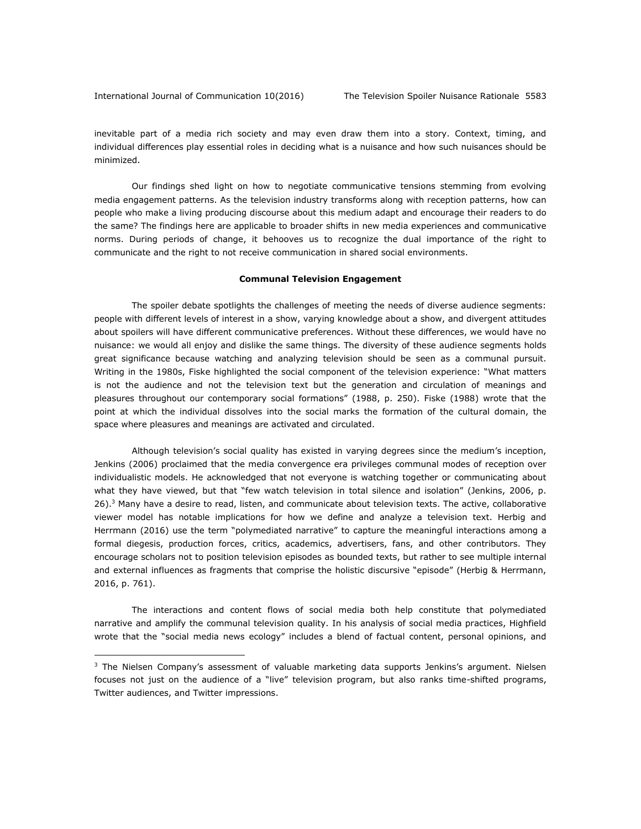$\overline{a}$ 

inevitable part of a media rich society and may even draw them into a story. Context, timing, and individual differences play essential roles in deciding what is a nuisance and how such nuisances should be minimized.

Our findings shed light on how to negotiate communicative tensions stemming from evolving media engagement patterns. As the television industry transforms along with reception patterns, how can people who make a living producing discourse about this medium adapt and encourage their readers to do the same? The findings here are applicable to broader shifts in new media experiences and communicative norms. During periods of change, it behooves us to recognize the dual importance of the right to communicate and the right to not receive communication in shared social environments.

#### **Communal Television Engagement**

The spoiler debate spotlights the challenges of meeting the needs of diverse audience segments: people with different levels of interest in a show, varying knowledge about a show, and divergent attitudes about spoilers will have different communicative preferences. Without these differences, we would have no nuisance: we would all enjoy and dislike the same things. The diversity of these audience segments holds great significance because watching and analyzing television should be seen as a communal pursuit. Writing in the 1980s, Fiske highlighted the social component of the television experience: "What matters is not the audience and not the television text but the generation and circulation of meanings and pleasures throughout our contemporary social formations" (1988, p. 250). Fiske (1988) wrote that the point at which the individual dissolves into the social marks the formation of the cultural domain, the space where pleasures and meanings are activated and circulated.

Although television's social quality has existed in varying degrees since the medium's inception, Jenkins (2006) proclaimed that the media convergence era privileges communal modes of reception over individualistic models. He acknowledged that not everyone is watching together or communicating about what they have viewed, but that "few watch television in total silence and isolation" (Jenkins, 2006, p. 26).<sup>3</sup> Many have a desire to read, listen, and communicate about television texts. The active, collaborative viewer model has notable implications for how we define and analyze a television text. Herbig and Herrmann (2016) use the term "polymediated narrative" to capture the meaningful interactions among a formal diegesis, production forces, critics, academics, advertisers, fans, and other contributors. They encourage scholars not to position television episodes as bounded texts, but rather to see multiple internal and external influences as fragments that comprise the holistic discursive "episode" (Herbig & Herrmann, 2016, p. 761).

The interactions and content flows of social media both help constitute that polymediated narrative and amplify the communal television quality. In his analysis of social media practices, Highfield wrote that the "social media news ecology" includes a blend of factual content, personal opinions, and

 $3$  The Nielsen Company's assessment of valuable marketing data supports Jenkins's argument. Nielsen focuses not just on the audience of a "live" television program, but also ranks time-shifted programs, Twitter audiences, and Twitter impressions.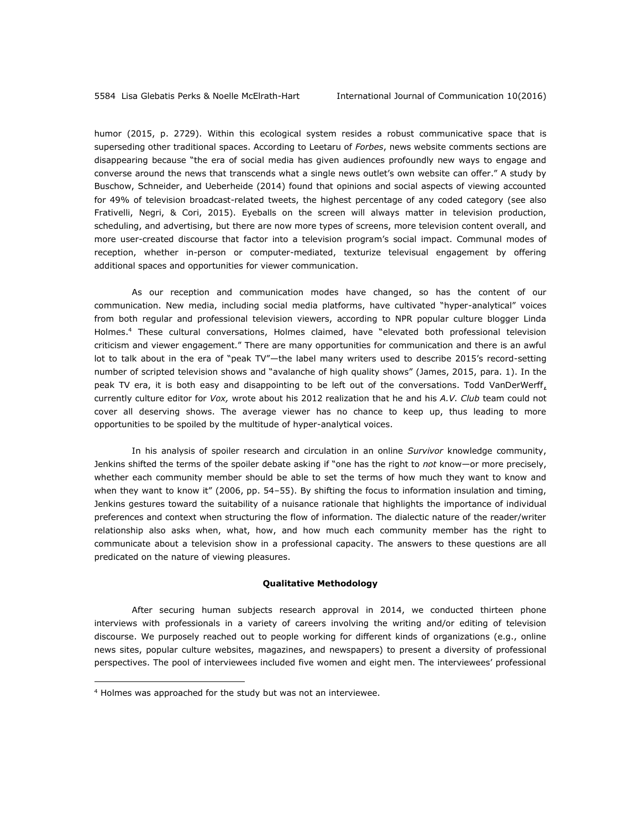humor (2015, p. 2729). Within this ecological system resides a robust communicative space that is superseding other traditional spaces. According to Leetaru of *Forbes*, news website comments sections are disappearing because "the era of social media has given audiences profoundly new ways to engage and converse around the news that transcends what a single news outlet's own website can offer." A study by Buschow, Schneider, and Ueberheide (2014) found that opinions and social aspects of viewing accounted for 49% of television broadcast-related tweets, the highest percentage of any coded category (see also Frativelli, Negri, & Cori, 2015). Eyeballs on the screen will always matter in television production, scheduling, and advertising, but there are now more types of screens, more television content overall, and more user-created discourse that factor into a television program's social impact. Communal modes of reception, whether in-person or computer-mediated, texturize televisual engagement by offering additional spaces and opportunities for viewer communication.

As our reception and communication modes have changed, so has the content of our communication. New media, including social media platforms, have cultivated "hyper-analytical" voices from both regular and professional television viewers, according to NPR popular culture blogger Linda Holmes.<sup>4</sup> These cultural conversations, Holmes claimed, have "elevated both professional television criticism and viewer engagement." There are many opportunities for communication and there is an awful lot to talk about in the era of "peak TV"—the label many writers used to describe 2015's record-setting number of scripted television shows and "avalanche of high quality shows" (James, 2015, para. 1). In the peak TV era, it is both easy and disappointing to be left out of the conversations. Todd VanDerWerff, currently culture editor for *Vox,* wrote about his 2012 realization that he and his *A.V. Club* team could not cover all deserving shows. The average viewer has no chance to keep up, thus leading to more opportunities to be spoiled by the multitude of hyper-analytical voices.

In his analysis of spoiler research and circulation in an online *Survivor* knowledge community, Jenkins shifted the terms of the spoiler debate asking if "one has the right to *not* know—or more precisely, whether each community member should be able to set the terms of how much they want to know and when they want to know it" (2006, pp. 54–55). By shifting the focus to information insulation and timing, Jenkins gestures toward the suitability of a nuisance rationale that highlights the importance of individual preferences and context when structuring the flow of information. The dialectic nature of the reader/writer relationship also asks when, what, how, and how much each community member has the right to communicate about a television show in a professional capacity. The answers to these questions are all predicated on the nature of viewing pleasures.

#### **Qualitative Methodology**

After securing human subjects research approval in 2014, we conducted thirteen phone interviews with professionals in a variety of careers involving the writing and/or editing of television discourse. We purposely reached out to people working for different kinds of organizations (e.g., online news sites, popular culture websites, magazines, and newspapers) to present a diversity of professional perspectives. The pool of interviewees included five women and eight men. The interviewees' professional

 $\overline{a}$ 

<sup>4</sup> Holmes was approached for the study but was not an interviewee.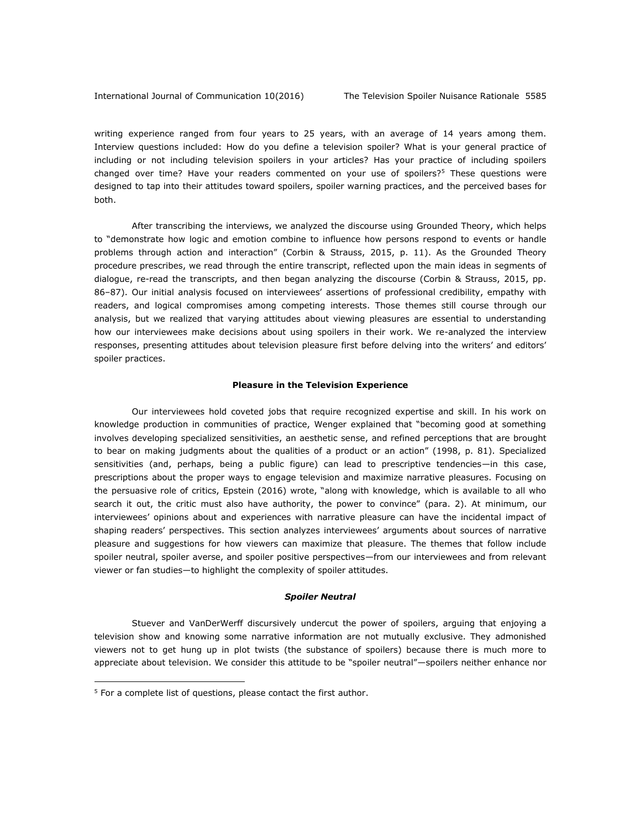writing experience ranged from four years to 25 years, with an average of 14 years among them. Interview questions included: How do you define a television spoiler? What is your general practice of including or not including television spoilers in your articles? Has your practice of including spoilers changed over time? Have your readers commented on your use of spoilers?<sup>5</sup> These questions were designed to tap into their attitudes toward spoilers, spoiler warning practices, and the perceived bases for both.

After transcribing the interviews, we analyzed the discourse using Grounded Theory, which helps to "demonstrate how logic and emotion combine to influence how persons respond to events or handle problems through action and interaction" (Corbin & Strauss, 2015, p. 11). As the Grounded Theory procedure prescribes, we read through the entire transcript, reflected upon the main ideas in segments of dialogue, re-read the transcripts, and then began analyzing the discourse (Corbin & Strauss, 2015, pp. 86–87). Our initial analysis focused on interviewees' assertions of professional credibility, empathy with readers, and logical compromises among competing interests. Those themes still course through our analysis, but we realized that varying attitudes about viewing pleasures are essential to understanding how our interviewees make decisions about using spoilers in their work. We re-analyzed the interview responses, presenting attitudes about television pleasure first before delving into the writers' and editors' spoiler practices.

### **Pleasure in the Television Experience**

Our interviewees hold coveted jobs that require recognized expertise and skill. In his work on knowledge production in communities of practice, Wenger explained that "becoming good at something involves developing specialized sensitivities, an aesthetic sense, and refined perceptions that are brought to bear on making judgments about the qualities of a product or an action" (1998, p. 81). Specialized sensitivities (and, perhaps, being a public figure) can lead to prescriptive tendencies—in this case, prescriptions about the proper ways to engage television and maximize narrative pleasures. Focusing on the persuasive role of critics, Epstein (2016) wrote, "along with knowledge, which is available to all who search it out, the critic must also have authority, the power to convince" (para. 2). At minimum, our interviewees' opinions about and experiences with narrative pleasure can have the incidental impact of shaping readers' perspectives. This section analyzes interviewees' arguments about sources of narrative pleasure and suggestions for how viewers can maximize that pleasure. The themes that follow include spoiler neutral, spoiler averse, and spoiler positive perspectives—from our interviewees and from relevant viewer or fan studies—to highlight the complexity of spoiler attitudes.

#### *Spoiler Neutral*

Stuever and VanDerWerff discursively undercut the power of spoilers, arguing that enjoying a television show and knowing some narrative information are not mutually exclusive. They admonished viewers not to get hung up in plot twists (the substance of spoilers) because there is much more to appreciate about television. We consider this attitude to be "spoiler neutral"—spoilers neither enhance nor

 $\overline{a}$ 

 $5$  For a complete list of questions, please contact the first author.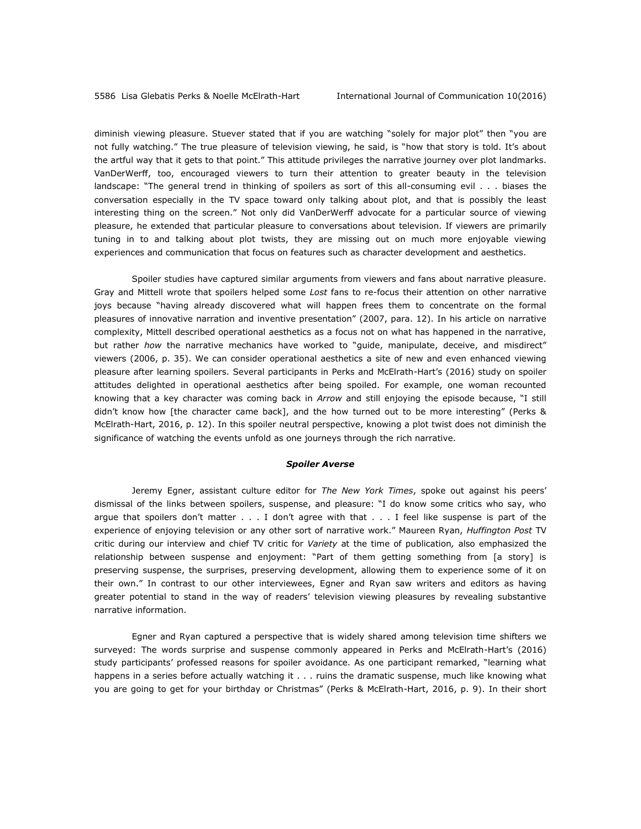diminish viewing pleasure. Stuever stated that if you are watching "solely for major plot" then "you are not fully watching." The true pleasure of television viewing, he said, is "how that story is told. It's about the artful way that it gets to that point." This attitude privileges the narrative journey over plot landmarks. VanDerWerff, too, encouraged viewers to turn their attention to greater beauty in the television landscape: "The general trend in thinking of spoilers as sort of this all-consuming evil . . . biases the conversation especially in the TV space toward only talking about plot, and that is possibly the least interesting thing on the screen." Not only did VanDerWerff advocate for a particular source of viewing pleasure, he extended that particular pleasure to conversations about television. If viewers are primarily tuning in to and talking about plot twists, they are missing out on much more enjoyable viewing experiences and communication that focus on features such as character development and aesthetics.

Spoiler studies have captured similar arguments from viewers and fans about narrative pleasure. Gray and Mittell wrote that spoilers helped some *Lost* fans to re-focus their attention on other narrative joys because "having already discovered what will happen frees them to concentrate on the formal pleasures of innovative narration and inventive presentation" (2007, para. 12). In his article on narrative complexity, Mittell described operational aesthetics as a focus not on what has happened in the narrative, but rather *how* the narrative mechanics have worked to "guide, manipulate, deceive, and misdirect" viewers (2006, p. 35). We can consider operational aesthetics a site of new and even enhanced viewing pleasure after learning spoilers. Several participants in Perks and McElrath-Hart's (2016) study on spoiler attitudes delighted in operational aesthetics after being spoiled. For example, one woman recounted knowing that a key character was coming back in *Arrow* and still enjoying the episode because, "I still didn't know how [the character came back], and the how turned out to be more interesting" (Perks & McElrath-Hart, 2016, p. 12). In this spoiler neutral perspective, knowing a plot twist does not diminish the significance of watching the events unfold as one journeys through the rich narrative.

#### *Spoiler Averse*

Jeremy Egner, assistant culture editor for *The New York Times*, spoke out against his peers' dismissal of the links between spoilers, suspense, and pleasure: "I do know some critics who say, who argue that spoilers don't matter . . . I don't agree with that . . . I feel like suspense is part of the experience of enjoying television or any other sort of narrative work." Maureen Ryan, *Huffington Post* TV critic during our interview and chief TV critic for *Variety* at the time of publication*,* also emphasized the relationship between suspense and enjoyment: "Part of them getting something from [a story] is preserving suspense, the surprises, preserving development, allowing them to experience some of it on their own." In contrast to our other interviewees, Egner and Ryan saw writers and editors as having greater potential to stand in the way of readers' television viewing pleasures by revealing substantive narrative information.

Egner and Ryan captured a perspective that is widely shared among television time shifters we surveyed: The words surprise and suspense commonly appeared in Perks and McElrath-Hart's (2016) study participants' professed reasons for spoiler avoidance. As one participant remarked, "learning what happens in a series before actually watching it . . . ruins the dramatic suspense, much like knowing what you are going to get for your birthday or Christmas" (Perks & McElrath-Hart, 2016, p. 9). In their short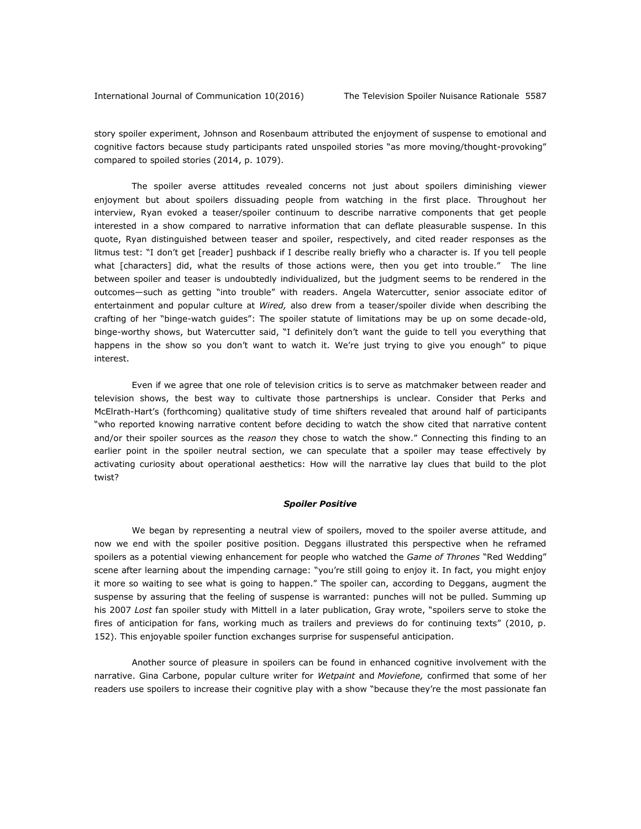story spoiler experiment, Johnson and Rosenbaum attributed the enjoyment of suspense to emotional and cognitive factors because study participants rated unspoiled stories "as more moving/thought-provoking" compared to spoiled stories (2014, p. 1079).

The spoiler averse attitudes revealed concerns not just about spoilers diminishing viewer enjoyment but about spoilers dissuading people from watching in the first place. Throughout her interview, Ryan evoked a teaser/spoiler continuum to describe narrative components that get people interested in a show compared to narrative information that can deflate pleasurable suspense. In this quote, Ryan distinguished between teaser and spoiler, respectively, and cited reader responses as the litmus test: "I don't get [reader] pushback if I describe really briefly who a character is. If you tell people what [characters] did, what the results of those actions were, then you get into trouble." The line between spoiler and teaser is undoubtedly individualized, but the judgment seems to be rendered in the outcomes—such as getting "into trouble" with readers. Angela Watercutter, senior associate editor of entertainment and popular culture at *Wired,* also drew from a teaser/spoiler divide when describing the crafting of her "binge-watch guides": The spoiler statute of limitations may be up on some decade-old, binge-worthy shows, but Watercutter said, "I definitely don't want the guide to tell you everything that happens in the show so you don't want to watch it. We're just trying to give you enough" to pique interest.

Even if we agree that one role of television critics is to serve as matchmaker between reader and television shows, the best way to cultivate those partnerships is unclear. Consider that Perks and McElrath-Hart's (forthcoming) qualitative study of time shifters revealed that around half of participants "who reported knowing narrative content before deciding to watch the show cited that narrative content and/or their spoiler sources as the *reason* they chose to watch the show." Connecting this finding to an earlier point in the spoiler neutral section, we can speculate that a spoiler may tease effectively by activating curiosity about operational aesthetics: How will the narrative lay clues that build to the plot twist?

#### *Spoiler Positive*

We began by representing a neutral view of spoilers, moved to the spoiler averse attitude, and now we end with the spoiler positive position. Deggans illustrated this perspective when he reframed spoilers as a potential viewing enhancement for people who watched the *Game of Thrones* "Red Wedding" scene after learning about the impending carnage: "you're still going to enjoy it. In fact, you might enjoy it more so waiting to see what is going to happen." The spoiler can, according to Deggans, augment the suspense by assuring that the feeling of suspense is warranted: punches will not be pulled. Summing up his 2007 *Lost* fan spoiler study with Mittell in a later publication, Gray wrote, "spoilers serve to stoke the fires of anticipation for fans, working much as trailers and previews do for continuing texts" (2010, p. 152). This enjoyable spoiler function exchanges surprise for suspenseful anticipation.

Another source of pleasure in spoilers can be found in enhanced cognitive involvement with the narrative. Gina Carbone, popular culture writer for *Wetpaint* and *Moviefone,* confirmed that some of her readers use spoilers to increase their cognitive play with a show "because they're the most passionate fan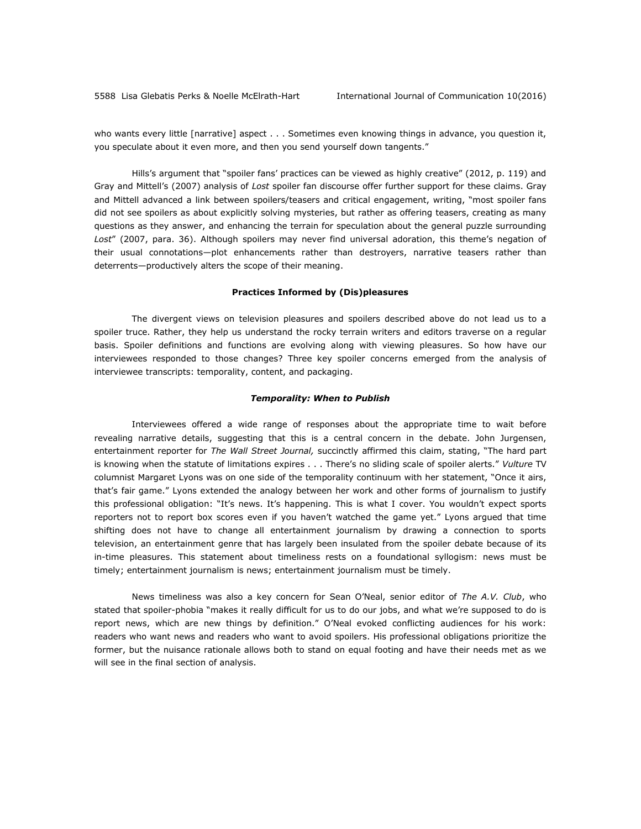who wants every little [narrative] aspect . . . Sometimes even knowing things in advance, you question it, you speculate about it even more, and then you send yourself down tangents."

Hills's argument that "spoiler fans' practices can be viewed as highly creative" (2012, p. 119) and Gray and Mittell's (2007) analysis of *Lost* spoiler fan discourse offer further support for these claims. Gray and Mittell advanced a link between spoilers/teasers and critical engagement, writing, "most spoiler fans did not see spoilers as about explicitly solving mysteries, but rather as offering teasers, creating as many questions as they answer, and enhancing the terrain for speculation about the general puzzle surrounding *Lost*" (2007, para. 36). Although spoilers may never find universal adoration, this theme's negation of their usual connotations—plot enhancements rather than destroyers, narrative teasers rather than deterrents—productively alters the scope of their meaning.

#### **Practices Informed by (Dis)pleasures**

The divergent views on television pleasures and spoilers described above do not lead us to a spoiler truce. Rather, they help us understand the rocky terrain writers and editors traverse on a regular basis. Spoiler definitions and functions are evolving along with viewing pleasures. So how have our interviewees responded to those changes? Three key spoiler concerns emerged from the analysis of interviewee transcripts: temporality, content, and packaging.

#### *Temporality: When to Publish*

Interviewees offered a wide range of responses about the appropriate time to wait before revealing narrative details, suggesting that this is a central concern in the debate. John Jurgensen, entertainment reporter for *The Wall Street Journal,* succinctly affirmed this claim, stating, "The hard part is knowing when the statute of limitations expires . . . There's no sliding scale of spoiler alerts." *Vulture* TV columnist Margaret Lyons was on one side of the temporality continuum with her statement, "Once it airs, that's fair game." Lyons extended the analogy between her work and other forms of journalism to justify this professional obligation: "It's news. It's happening. This is what I cover. You wouldn't expect sports reporters not to report box scores even if you haven't watched the game yet." Lyons argued that time shifting does not have to change all entertainment journalism by drawing a connection to sports television, an entertainment genre that has largely been insulated from the spoiler debate because of its in-time pleasures. This statement about timeliness rests on a foundational syllogism: news must be timely; entertainment journalism is news; entertainment journalism must be timely.

News timeliness was also a key concern for Sean O'Neal, senior editor of *The A.V. Club*, who stated that spoiler-phobia "makes it really difficult for us to do our jobs, and what we're supposed to do is report news, which are new things by definition." O'Neal evoked conflicting audiences for his work: readers who want news and readers who want to avoid spoilers. His professional obligations prioritize the former, but the nuisance rationale allows both to stand on equal footing and have their needs met as we will see in the final section of analysis.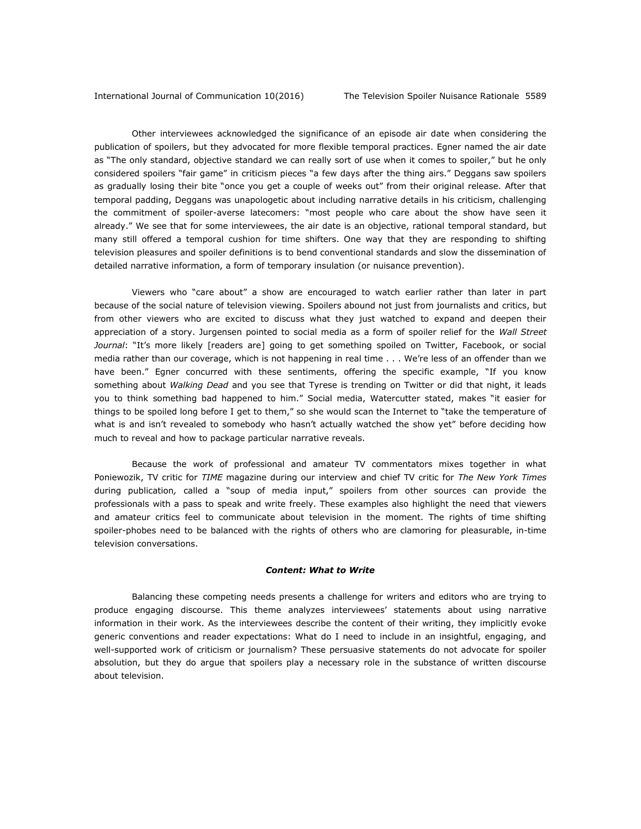Other interviewees acknowledged the significance of an episode air date when considering the publication of spoilers, but they advocated for more flexible temporal practices. Egner named the air date as "The only standard, objective standard we can really sort of use when it comes to spoiler," but he only considered spoilers "fair game" in criticism pieces "a few days after the thing airs." Deggans saw spoilers as gradually losing their bite "once you get a couple of weeks out" from their original release. After that temporal padding, Deggans was unapologetic about including narrative details in his criticism, challenging the commitment of spoiler-averse latecomers: "most people who care about the show have seen it already." We see that for some interviewees, the air date is an objective, rational temporal standard, but many still offered a temporal cushion for time shifters. One way that they are responding to shifting television pleasures and spoiler definitions is to bend conventional standards and slow the dissemination of detailed narrative information, a form of temporary insulation (or nuisance prevention).

Viewers who "care about" a show are encouraged to watch earlier rather than later in part because of the social nature of television viewing. Spoilers abound not just from journalists and critics, but from other viewers who are excited to discuss what they just watched to expand and deepen their appreciation of a story. Jurgensen pointed to social media as a form of spoiler relief for the *Wall Street Journal*: "It's more likely [readers are] going to get something spoiled on Twitter, Facebook, or social media rather than our coverage, which is not happening in real time . . . We're less of an offender than we have been." Egner concurred with these sentiments, offering the specific example, "If you know something about *Walking Dead* and you see that Tyrese is trending on Twitter or did that night, it leads you to think something bad happened to him." Social media, Watercutter stated, makes "it easier for things to be spoiled long before I get to them," so she would scan the Internet to "take the temperature of what is and isn't revealed to somebody who hasn't actually watched the show yet" before deciding how much to reveal and how to package particular narrative reveals.

Because the work of professional and amateur TV commentators mixes together in what Poniewozik, TV critic for *TIME* magazine during our interview and chief TV critic for *The New York Times*  during publication*,* called a "soup of media input," spoilers from other sources can provide the professionals with a pass to speak and write freely. These examples also highlight the need that viewers and amateur critics feel to communicate about television in the moment. The rights of time shifting spoiler-phobes need to be balanced with the rights of others who are clamoring for pleasurable, in-time television conversations.

## *Content: What to Write*

Balancing these competing needs presents a challenge for writers and editors who are trying to produce engaging discourse. This theme analyzes interviewees' statements about using narrative information in their work. As the interviewees describe the content of their writing, they implicitly evoke generic conventions and reader expectations: What do I need to include in an insightful, engaging, and well-supported work of criticism or journalism? These persuasive statements do not advocate for spoiler absolution, but they do argue that spoilers play a necessary role in the substance of written discourse about television.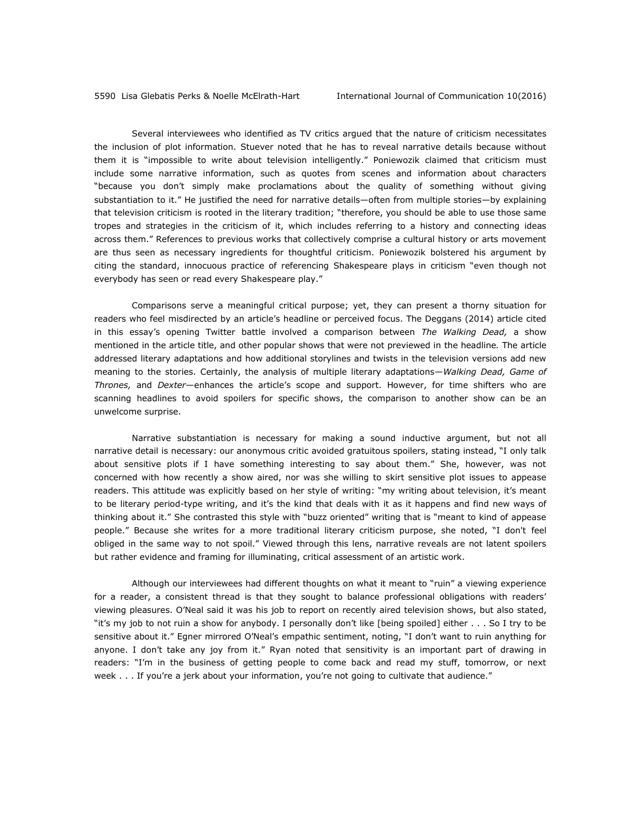Several interviewees who identified as TV critics argued that the nature of criticism necessitates the inclusion of plot information. Stuever noted that he has to reveal narrative details because without them it is "impossible to write about television intelligently." Poniewozik claimed that criticism must include some narrative information, such as quotes from scenes and information about characters "because you don't simply make proclamations about the quality of something without giving substantiation to it." He justified the need for narrative details—often from multiple stories—by explaining that television criticism is rooted in the literary tradition; "therefore, you should be able to use those same tropes and strategies in the criticism of it, which includes referring to a history and connecting ideas across them." References to previous works that collectively comprise a cultural history or arts movement are thus seen as necessary ingredients for thoughtful criticism. Poniewozik bolstered his argument by citing the standard, innocuous practice of referencing Shakespeare plays in criticism "even though not everybody has seen or read every Shakespeare play."

Comparisons serve a meaningful critical purpose; yet, they can present a thorny situation for readers who feel misdirected by an article's headline or perceived focus. The Deggans (2014) article cited in this essay's opening Twitter battle involved a comparison between *The Walking Dead,* a show mentioned in the article title, and other popular shows that were not previewed in the headline*.* The article addressed literary adaptations and how additional storylines and twists in the television versions add new meaning to the stories. Certainly, the analysis of multiple literary adaptations—*Walking Dead, Game of Thrones,* and *Dexter*—enhances the article's scope and support. However, for time shifters who are scanning headlines to avoid spoilers for specific shows, the comparison to another show can be an unwelcome surprise.

Narrative substantiation is necessary for making a sound inductive argument, but not all narrative detail is necessary: our anonymous critic avoided gratuitous spoilers, stating instead, "I only talk about sensitive plots if I have something interesting to say about them." She, however, was not concerned with how recently a show aired, nor was she willing to skirt sensitive plot issues to appease readers. This attitude was explicitly based on her style of writing: "my writing about television, it's meant to be literary period-type writing, and it's the kind that deals with it as it happens and find new ways of thinking about it." She contrasted this style with "buzz oriented" writing that is "meant to kind of appease people." Because she writes for a more traditional literary criticism purpose, she noted, "I don't feel obliged in the same way to not spoil." Viewed through this lens, narrative reveals are not latent spoilers but rather evidence and framing for illuminating, critical assessment of an artistic work.

Although our interviewees had different thoughts on what it meant to "ruin" a viewing experience for a reader, a consistent thread is that they sought to balance professional obligations with readers' viewing pleasures. O'Neal said it was his job to report on recently aired television shows, but also stated, "it's my job to not ruin a show for anybody. I personally don't like [being spoiled] either . . . So I try to be sensitive about it." Egner mirrored O'Neal's empathic sentiment, noting, "I don't want to ruin anything for anyone. I don't take any joy from it." Ryan noted that sensitivity is an important part of drawing in readers: "I'm in the business of getting people to come back and read my stuff, tomorrow, or next week . . . If you're a jerk about your information, you're not going to cultivate that audience."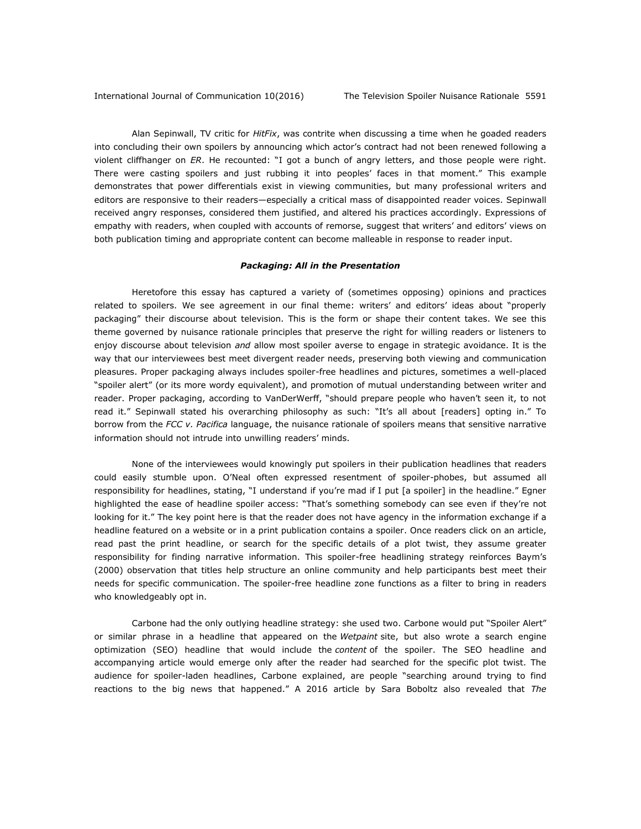Alan Sepinwall, TV critic for *HitFix*, was contrite when discussing a time when he goaded readers into concluding their own spoilers by announcing which actor's contract had not been renewed following a violent cliffhanger on *ER*. He recounted: "I got a bunch of angry letters, and those people were right. There were casting spoilers and just rubbing it into peoples' faces in that moment." This example demonstrates that power differentials exist in viewing communities, but many professional writers and editors are responsive to their readers—especially a critical mass of disappointed reader voices. Sepinwall received angry responses, considered them justified, and altered his practices accordingly. Expressions of empathy with readers, when coupled with accounts of remorse, suggest that writers' and editors' views on both publication timing and appropriate content can become malleable in response to reader input.

### *Packaging: All in the Presentation*

Heretofore this essay has captured a variety of (sometimes opposing) opinions and practices related to spoilers. We see agreement in our final theme: writers' and editors' ideas about "properly packaging" their discourse about television. This is the form or shape their content takes. We see this theme governed by nuisance rationale principles that preserve the right for willing readers or listeners to enjoy discourse about television *and* allow most spoiler averse to engage in strategic avoidance. It is the way that our interviewees best meet divergent reader needs, preserving both viewing and communication pleasures. Proper packaging always includes spoiler-free headlines and pictures, sometimes a well-placed "spoiler alert" (or its more wordy equivalent), and promotion of mutual understanding between writer and reader. Proper packaging, according to VanDerWerff, "should prepare people who haven't seen it, to not read it." Sepinwall stated his overarching philosophy as such: "It's all about [readers] opting in." To borrow from the *FCC v. Pacifica* language, the nuisance rationale of spoilers means that sensitive narrative information should not intrude into unwilling readers' minds.

None of the interviewees would knowingly put spoilers in their publication headlines that readers could easily stumble upon. O'Neal often expressed resentment of spoiler-phobes, but assumed all responsibility for headlines, stating, "I understand if you're mad if I put [a spoiler] in the headline." Egner highlighted the ease of headline spoiler access: "That's something somebody can see even if they're not looking for it." The key point here is that the reader does not have agency in the information exchange if a headline featured on a website or in a print publication contains a spoiler. Once readers click on an article, read past the print headline, or search for the specific details of a plot twist, they assume greater responsibility for finding narrative information. This spoiler-free headlining strategy reinforces Baym's (2000) observation that titles help structure an online community and help participants best meet their needs for specific communication. The spoiler-free headline zone functions as a filter to bring in readers who knowledgeably opt in.

Carbone had the only outlying headline strategy: she used two. Carbone would put "Spoiler Alert" or similar phrase in a headline that appeared on the *Wetpaint* site, but also wrote a search engine optimization (SEO) headline that would include the *content* of the spoiler. The SEO headline and accompanying article would emerge only after the reader had searched for the specific plot twist. The audience for spoiler-laden headlines, Carbone explained, are people "searching around trying to find reactions to the big news that happened." A 2016 article by Sara Boboltz also revealed that *The*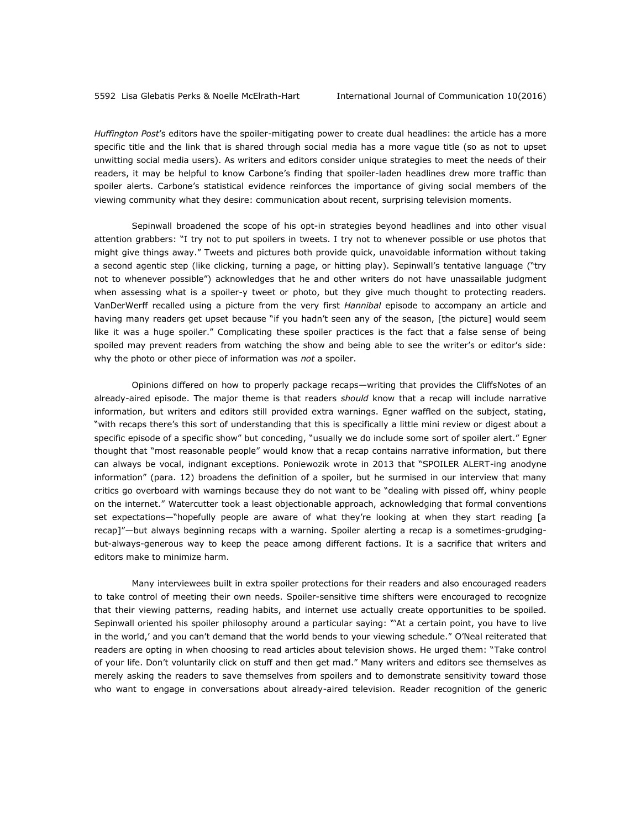*Huffington Post*'s editors have the spoiler-mitigating power to create dual headlines: the article has a more specific title and the link that is shared through social media has a more vague title (so as not to upset unwitting social media users). As writers and editors consider unique strategies to meet the needs of their readers, it may be helpful to know Carbone's finding that spoiler-laden headlines drew more traffic than spoiler alerts. Carbone's statistical evidence reinforces the importance of giving social members of the viewing community what they desire: communication about recent, surprising television moments.

Sepinwall broadened the scope of his opt-in strategies beyond headlines and into other visual attention grabbers: "I try not to put spoilers in tweets. I try not to whenever possible or use photos that might give things away." Tweets and pictures both provide quick, unavoidable information without taking a second agentic step (like clicking, turning a page, or hitting play). Sepinwall's tentative language ("try not to whenever possible") acknowledges that he and other writers do not have unassailable judgment when assessing what is a spoiler-y tweet or photo, but they give much thought to protecting readers*.*  VanDerWerff recalled using a picture from the very first *Hannibal* episode to accompany an article and having many readers get upset because "if you hadn't seen any of the season, [the picture] would seem like it was a huge spoiler." Complicating these spoiler practices is the fact that a false sense of being spoiled may prevent readers from watching the show and being able to see the writer's or editor's side: why the photo or other piece of information was *not* a spoiler.

Opinions differed on how to properly package recaps—writing that provides the CliffsNotes of an already-aired episode. The major theme is that readers *should* know that a recap will include narrative information, but writers and editors still provided extra warnings. Egner waffled on the subject, stating, "with recaps there's this sort of understanding that this is specifically a little mini review or digest about a specific episode of a specific show" but conceding, "usually we do include some sort of spoiler alert." Egner thought that "most reasonable people" would know that a recap contains narrative information, but there can always be vocal, indignant exceptions. Poniewozik wrote in 2013 that "SPOILER ALERT-ing anodyne information" (para. 12) broadens the definition of a spoiler, but he surmised in our interview that many critics go overboard with warnings because they do not want to be "dealing with pissed off, whiny people on the internet." Watercutter took a least objectionable approach, acknowledging that formal conventions set expectations—"hopefully people are aware of what they're looking at when they start reading [a recap]"—but always beginning recaps with a warning. Spoiler alerting a recap is a sometimes-grudgingbut-always-generous way to keep the peace among different factions. It is a sacrifice that writers and editors make to minimize harm.

Many interviewees built in extra spoiler protections for their readers and also encouraged readers to take control of meeting their own needs. Spoiler-sensitive time shifters were encouraged to recognize that their viewing patterns, reading habits, and internet use actually create opportunities to be spoiled. Sepinwall oriented his spoiler philosophy around a particular saying: "'At a certain point, you have to live in the world,' and you can't demand that the world bends to your viewing schedule." O'Neal reiterated that readers are opting in when choosing to read articles about television shows. He urged them: "Take control of your life. Don't voluntarily click on stuff and then get mad." Many writers and editors see themselves as merely asking the readers to save themselves from spoilers and to demonstrate sensitivity toward those who want to engage in conversations about already-aired television. Reader recognition of the generic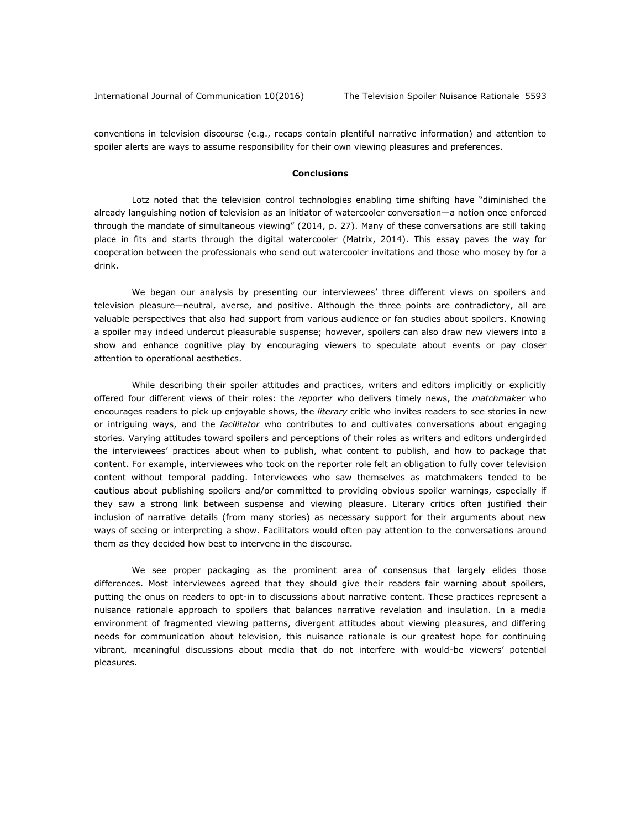conventions in television discourse (e.g., recaps contain plentiful narrative information) and attention to spoiler alerts are ways to assume responsibility for their own viewing pleasures and preferences.

#### **Conclusions**

Lotz noted that the television control technologies enabling time shifting have "diminished the already languishing notion of television as an initiator of watercooler conversation—a notion once enforced through the mandate of simultaneous viewing" (2014, p. 27). Many of these conversations are still taking place in fits and starts through the digital watercooler (Matrix, 2014). This essay paves the way for cooperation between the professionals who send out watercooler invitations and those who mosey by for a drink.

We began our analysis by presenting our interviewees' three different views on spoilers and television pleasure—neutral, averse, and positive. Although the three points are contradictory, all are valuable perspectives that also had support from various audience or fan studies about spoilers. Knowing a spoiler may indeed undercut pleasurable suspense; however, spoilers can also draw new viewers into a show and enhance cognitive play by encouraging viewers to speculate about events or pay closer attention to operational aesthetics.

While describing their spoiler attitudes and practices, writers and editors implicitly or explicitly offered four different views of their roles: the *reporter* who delivers timely news, the *matchmaker* who encourages readers to pick up enjoyable shows, the *literary* critic who invites readers to see stories in new or intriguing ways, and the *facilitator* who contributes to and cultivates conversations about engaging stories. Varying attitudes toward spoilers and perceptions of their roles as writers and editors undergirded the interviewees' practices about when to publish, what content to publish, and how to package that content. For example, interviewees who took on the reporter role felt an obligation to fully cover television content without temporal padding. Interviewees who saw themselves as matchmakers tended to be cautious about publishing spoilers and/or committed to providing obvious spoiler warnings, especially if they saw a strong link between suspense and viewing pleasure. Literary critics often justified their inclusion of narrative details (from many stories) as necessary support for their arguments about new ways of seeing or interpreting a show. Facilitators would often pay attention to the conversations around them as they decided how best to intervene in the discourse.

We see proper packaging as the prominent area of consensus that largely elides those differences. Most interviewees agreed that they should give their readers fair warning about spoilers, putting the onus on readers to opt-in to discussions about narrative content. These practices represent a nuisance rationale approach to spoilers that balances narrative revelation and insulation. In a media environment of fragmented viewing patterns, divergent attitudes about viewing pleasures, and differing needs for communication about television, this nuisance rationale is our greatest hope for continuing vibrant, meaningful discussions about media that do not interfere with would-be viewers' potential pleasures.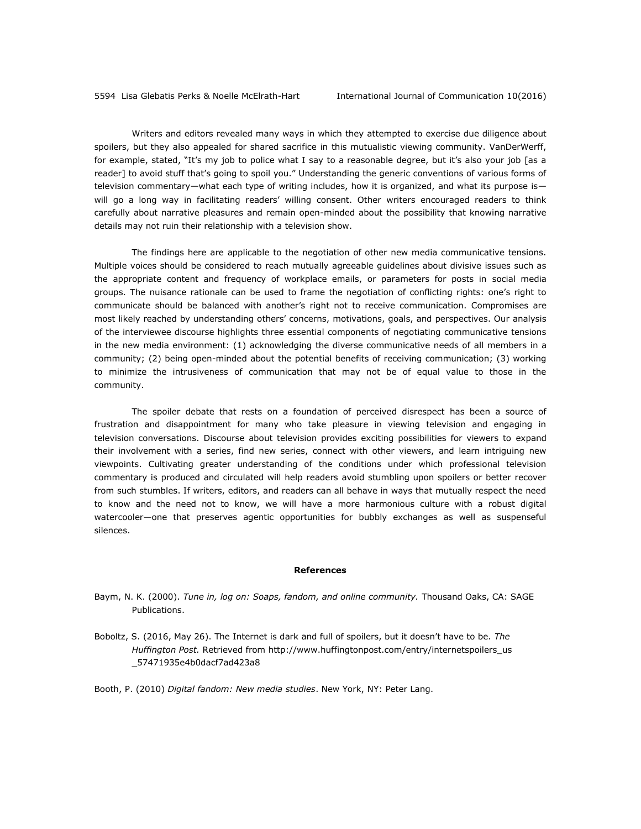Writers and editors revealed many ways in which they attempted to exercise due diligence about spoilers, but they also appealed for shared sacrifice in this mutualistic viewing community. VanDerWerff, for example, stated, "It's my job to police what I say to a reasonable degree, but it's also your job [as a reader] to avoid stuff that's going to spoil you." Understanding the generic conventions of various forms of television commentary—what each type of writing includes, how it is organized, and what its purpose is will go a long way in facilitating readers' willing consent. Other writers encouraged readers to think carefully about narrative pleasures and remain open-minded about the possibility that knowing narrative details may not ruin their relationship with a television show.

The findings here are applicable to the negotiation of other new media communicative tensions. Multiple voices should be considered to reach mutually agreeable guidelines about divisive issues such as the appropriate content and frequency of workplace emails, or parameters for posts in social media groups. The nuisance rationale can be used to frame the negotiation of conflicting rights: one's right to communicate should be balanced with another's right not to receive communication. Compromises are most likely reached by understanding others' concerns, motivations, goals, and perspectives. Our analysis of the interviewee discourse highlights three essential components of negotiating communicative tensions in the new media environment: (1) acknowledging the diverse communicative needs of all members in a community; (2) being open-minded about the potential benefits of receiving communication; (3) working to minimize the intrusiveness of communication that may not be of equal value to those in the community.

The spoiler debate that rests on a foundation of perceived disrespect has been a source of frustration and disappointment for many who take pleasure in viewing television and engaging in television conversations. Discourse about television provides exciting possibilities for viewers to expand their involvement with a series, find new series, connect with other viewers, and learn intriguing new viewpoints. Cultivating greater understanding of the conditions under which professional television commentary is produced and circulated will help readers avoid stumbling upon spoilers or better recover from such stumbles. If writers, editors, and readers can all behave in ways that mutually respect the need to know and the need not to know, we will have a more harmonious culture with a robust digital watercooler—one that preserves agentic opportunities for bubbly exchanges as well as suspenseful silences.

#### **References**

- Baym, N. K. (2000). *Tune in, log on: Soaps, fandom, and online community.* Thousand Oaks, CA: SAGE Publications.
- Boboltz, S. (2016, May 26). The Internet is dark and full of spoilers, but it doesn't have to be. *The Huffington Post.* Retrieved from [http://www.huffingtonpost.com/entry/internetspoilers\\_us](http://www.huffingtonpost.com/entry/internetspoilers_us%0b_57471935e4b0dacf7ad423a8) [\\_57471935e4b0dacf7ad423a8](http://www.huffingtonpost.com/entry/internetspoilers_us%0b_57471935e4b0dacf7ad423a8)

Booth, P. (2010) *Digital fandom: New media studies*. New York, NY: Peter Lang.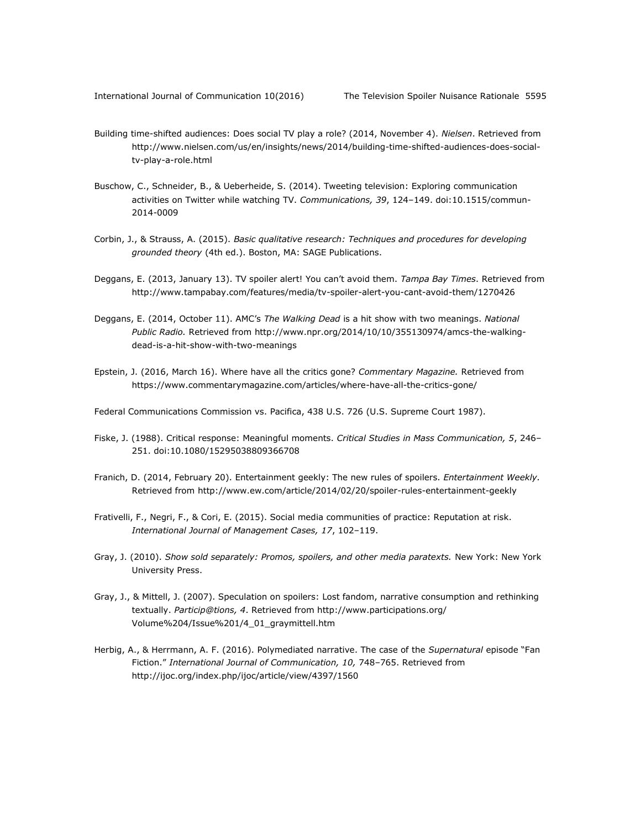- Building time-shifted audiences: Does social TV play a role? (2014, November 4). *Nielsen*. Retrieved from [http://www.nielsen.com/us/en/insights/news/2014/building-time-shifted-audiences-does-social](http://www.nielsen.com/us/en/insights/news/2014/building-time-shifted-audiences-does-social-tv-play-a-role.html)[tv-play-a-role.html](http://www.nielsen.com/us/en/insights/news/2014/building-time-shifted-audiences-does-social-tv-play-a-role.html)
- Buschow, C., Schneider, B., & Ueberheide, S. (2014). Tweeting television: Exploring communication activities on Twitter while watching TV. *Communications, 39*, 124–149. doi:10.1515/commun-2014-0009
- Corbin, J., & Strauss, A. (2015). *Basic qualitative research: Techniques and procedures for developing grounded theory* (4th ed.). Boston, MA: SAGE Publications.
- Deggans, E. (2013, January 13). TV spoiler alert! You can't avoid them. *Tampa Bay Times*. Retrieved from <http://www.tampabay.com/features/media/tv-spoiler-alert-you-cant-avoid-them/1270426>
- Deggans, E. (2014, October 11). AMC's *The Walking Dead* is a hit show with two meanings. *National Public Radio.* Retrieved from [http://www.npr.org/2014/10/10/355130974/amcs-the-walking](http://www.npr.org/2014/10/10/355130974/amcs-the-walking-dead-is-a-hit-show-with-two-meanings)[dead-is-a-hit-show-with-two-meanings](http://www.npr.org/2014/10/10/355130974/amcs-the-walking-dead-is-a-hit-show-with-two-meanings)
- Epstein, J. (2016, March 16). Where have all the critics gone? *Commentary Magazine.* Retrieved from <https://www.commentarymagazine.com/articles/where-have-all-the-critics-gone/>
- Federal Communications Commission vs. Pacifica, 438 U.S. 726 (U.S. Supreme Court 1987).
- Fiske, J. (1988). Critical response: Meaningful moments. *Critical Studies in Mass Communication, 5*, 246– 251. doi:10.1080/15295038809366708
- Franich, D. (2014, February 20). Entertainment geekly: The new rules of spoilers. *Entertainment Weekly.*  Retrieved from<http://www.ew.com/article/2014/02/20/spoiler-rules-entertainment-geekly>
- Frativelli, F., Negri, F., & Cori, E. (2015). Social media communities of practice: Reputation at risk. *International Journal of Management Cases, 17*, 102–119.
- Gray, J. (2010). *Show sold separately: Promos, spoilers, and other media paratexts.* New York: New York University Press.
- Gray, J., & Mittell, J. (2007). Speculation on spoilers: Lost fandom, narrative consumption and rethinking textually. *Particip@tions, 4*. Retrieved from [http://www.participations.org/](http://www.participations.org/%0bVolume%204/Issue%201/4_01_graymittell.htm) [Volume%204/Issue%201/4\\_01\\_graymittell.htm](http://www.participations.org/%0bVolume%204/Issue%201/4_01_graymittell.htm)
- Herbig, A., & Herrmann, A. F. (2016). Polymediated narrative. The case of the *Supernatural* episode "Fan Fiction." International Journal of Communication, 10, 748-765. Retrieved from <http://ijoc.org/index.php/ijoc/article/view/4397/1560>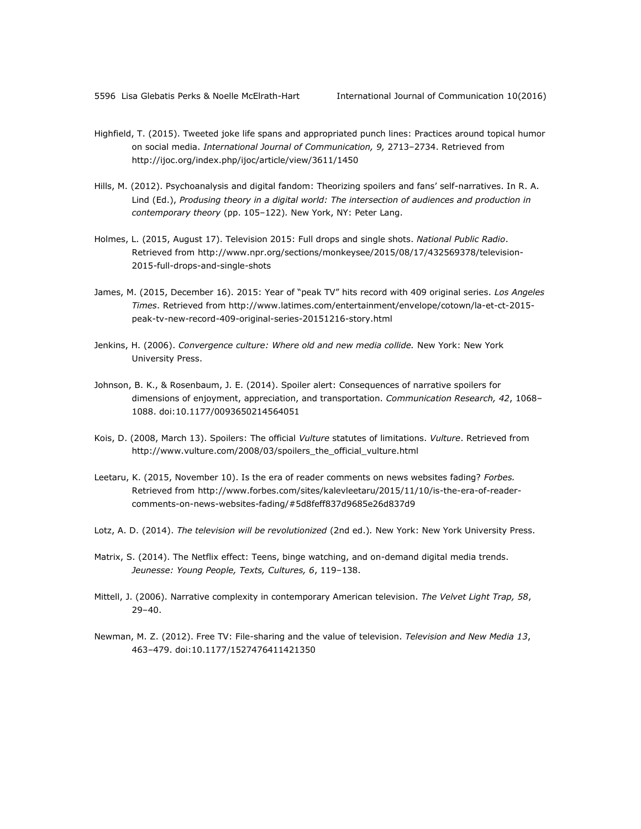- Highfield, T. (2015). Tweeted joke life spans and appropriated punch lines: Practices around topical humor on social media. *International Journal of Communication, 9,* 2713–2734. Retrieved from <http://ijoc.org/index.php/ijoc/article/view/3611/1450>
- Hills, M. (2012). Psychoanalysis and digital fandom: Theorizing spoilers and fans' self-narratives. In R. A. Lind (Ed.), *Produsing theory in a digital world: The intersection of audiences and production in contemporary theory* (pp. 105–122)*.* New York, NY: Peter Lang.
- Holmes, L. (2015, August 17). Television 2015: Full drops and single shots. *National Public Radio*. Retrieved from [http://www.npr.org/sections/monkeysee/2015/08/17/432569378/television-](http://www.npr.org/sections/monkeysee/2015/08/17/432569378/television-2015-full-drops-and-single-shots)[2015-full-drops-and-single-shots](http://www.npr.org/sections/monkeysee/2015/08/17/432569378/television-2015-full-drops-and-single-shots)
- James, M. (2015, December 16). 2015: Year of "peak TV" hits record with 409 original series. *Los Angeles Times*. Retrieved from [http://www.latimes.com/entertainment/envelope/cotown/la-et-ct-2015](http://www.latimes.com/entertainment/envelope/cotown/la-et-ct-2015-peak-tv-new-record-409-original-series-20151216-story.html) [peak-tv-new-record-409-original-series-20151216-story.html](http://www.latimes.com/entertainment/envelope/cotown/la-et-ct-2015-peak-tv-new-record-409-original-series-20151216-story.html)
- Jenkins, H. (2006). *Convergence culture: Where old and new media collide.* New York: New York University Press.
- Johnson, B. K., & Rosenbaum, J. E. (2014). Spoiler alert: Consequences of narrative spoilers for dimensions of enjoyment, appreciation, and transportation. *Communication Research, 42*, 1068– 1088. doi:10.1177/0093650214564051
- Kois, D. (2008, March 13). Spoilers: The official *Vulture* statutes of limitations. *Vulture*. Retrieved from [http://www.vulture.com/2008/03/spoilers\\_the\\_official\\_vulture.html](http://www.vulture.com/2008/03/spoilers_the_official_vulture.html)
- Leetaru, K. (2015, November 10). Is the era of reader comments on news websites fading? *Forbes.*  Retrieved from [http://www.forbes.com/sites/kalevleetaru/2015/11/10/is-the-era-of-reader](http://www.forbes.com/sites/kalevleetaru/2015/11/10/is-the-era-of-reader-comments-on-news-websites-fading/#5d8feff837d9685e26d837d9)[comments-on-news-websites-fading/#5d8feff837d9685e26d837d9](http://www.forbes.com/sites/kalevleetaru/2015/11/10/is-the-era-of-reader-comments-on-news-websites-fading/#5d8feff837d9685e26d837d9)
- Lotz, A. D. (2014). *The television will be revolutionized* (2nd ed.)*.* New York: New York University Press.
- Matrix, S. (2014). The Netflix effect: Teens, binge watching, and on-demand digital media trends. *Jeunesse: Young People, Texts, Cultures, 6*, 119–138.
- Mittell, J. (2006). Narrative complexity in contemporary American television. *The Velvet Light Trap, 58*, 29–40.
- Newman, M. Z. (2012). Free TV: File-sharing and the value of television. *Television and New Media 13*, 463–479. doi:10.1177/1527476411421350